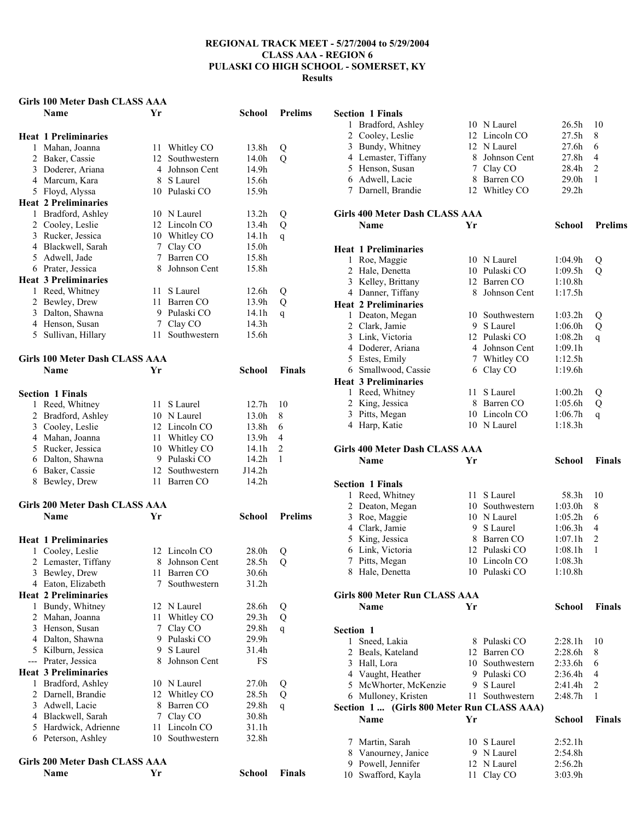# **Girls 100 Meter Dash CLASS AAA**

|     | Name                                             | Yr                  |                              | School            | <b>Prelims</b> |
|-----|--------------------------------------------------|---------------------|------------------------------|-------------------|----------------|
|     |                                                  |                     |                              |                   |                |
|     | <b>Heat 1 Preliminaries</b>                      |                     |                              |                   |                |
|     | 1 Mahan, Joanna                                  |                     | 11 Whitley CO                | 13.8h             | Q              |
|     | 2 Baker, Cassie                                  | 12                  | Southwestern                 | 14.0h             | Q              |
|     | 3 Doderer, Ariana                                | $\overline{4}$      | Johnson Cent                 | 14.9h             |                |
|     | 4 Marcum, Kara                                   |                     | 8 S Laurel                   | 15.6h             |                |
|     | 5 Floyd, Alyssa                                  |                     | 10 Pulaski CO                | 15.9h             |                |
|     | <b>Heat 2 Preliminaries</b>                      |                     |                              |                   |                |
|     | 1 Bradford, Ashley                               |                     | 10 N Laurel                  | 13.2 <sub>h</sub> | Q              |
|     | 2 Cooley, Leslie                                 |                     | 12 Lincoln CO                | 13.4h             | Q              |
|     | 3 Rucker, Jessica                                |                     | 10 Whitley CO                | 14.1h             | q              |
|     | 4 Blackwell, Sarah                               | 7<br>$\overline{7}$ | Clay CO<br>Barren CO         | 15.0h<br>15.8h    |                |
|     | 5 Adwell, Jade                                   | 8                   | Johnson Cent                 |                   |                |
|     | 6 Prater, Jessica<br><b>Heat 3 Preliminaries</b> |                     |                              | 15.8h             |                |
|     |                                                  |                     | S Laurel                     |                   |                |
|     | 1 Reed, Whitney                                  | 11                  |                              | 12.6h             | Q              |
|     | 2 Bewley, Drew<br>3 Dalton, Shawna               |                     | 11 Barren CO<br>9 Pulaski CO | 13.9h             | Q              |
|     |                                                  |                     |                              | 14.1h<br>14.3h    | $\mathbf{q}$   |
|     | 4 Henson, Susan                                  |                     | 7 Clay CO<br>11 Southwestern |                   |                |
|     | 5 Sullivan, Hillary                              |                     |                              | 15.6h             |                |
|     | Girls 100 Meter Dash CLASS AAA                   |                     |                              |                   |                |
|     | <b>Name</b>                                      | Yr                  |                              | School            | <b>Finals</b>  |
|     |                                                  |                     |                              |                   |                |
|     | <b>Section 1 Finals</b>                          |                     |                              |                   |                |
|     | 1 Reed, Whitney                                  |                     | 11 S Laurel                  | 12.7 <sub>h</sub> | 10             |
|     | 2 Bradford, Ashley                               |                     | 10 N Laurel                  | 13.0h             | 8              |
|     | 3 Cooley, Leslie                                 |                     | 12 Lincoln CO                | 13.8h             | 6              |
|     | 4 Mahan, Joanna                                  | 11                  | Whitley CO                   | 13.9h             | 4              |
|     | 5 Rucker, Jessica                                | 10                  | Whitley CO                   | 14.1h             | 2              |
|     | 6 Dalton, Shawna                                 |                     | 9 Pulaski CO                 | 14.2h             | 1              |
|     | 6 Baker, Cassie                                  |                     | 12 Southwestern              | J14.2h            |                |
|     | 8 Bewley, Drew                                   |                     | 11 Barren CO                 | 14.2h             |                |
|     |                                                  |                     |                              |                   |                |
|     | Girls 200 Meter Dash CLASS AAA                   |                     |                              |                   |                |
|     | <b>Name</b>                                      | Yr                  |                              | School            | <b>Prelims</b> |
|     | <b>Heat 1 Preliminaries</b>                      |                     |                              |                   |                |
|     | 1 Cooley, Leslie                                 |                     | 12 Lincoln CO                | 28.0h             | Q              |
|     | 2 Lemaster, Tiffany                              | 8                   | Johnson Cent                 | 28.5h             | Q              |
|     | 3 Bewley, Drew                                   | 11                  | Barren CO                    | 30.6h             |                |
|     | 4 Eaton, Elizabeth                               | 7                   | Southwestern                 | 31.2h             |                |
|     | <b>Heat 2 Preliminaries</b>                      |                     |                              |                   |                |
|     | 1 Bundy, Whitney                                 | 12                  | N Laurel                     | 28.6h             | Q              |
|     | 2 Mahan, Joanna                                  | 11                  | Whitley CO                   | 29.3 <sub>h</sub> | Q              |
|     | 3 Henson, Susan                                  | 7                   | Clay CO                      | 29.8h             | $\mathsf{q}$   |
|     | 4 Dalton, Shawna                                 | 9                   | Pulaski CO                   | 29.9h             |                |
|     | 5 Kilburn, Jessica                               | 9                   | S Laurel                     | 31.4h             |                |
| --- | Prater, Jessica                                  | 8                   | Johnson Cent                 | <b>FS</b>         |                |
|     | <b>Heat 3 Preliminaries</b>                      |                     |                              |                   |                |
| 1   | Bradford, Ashley                                 |                     | 10 N Laurel                  | 27.0 <sub>h</sub> | Q              |
|     | 2 Darnell, Brandie                               | 12                  | Whitley CO                   | 28.5h             | Q              |
|     | 3 Adwell, Lacie                                  | 8                   | Barren CO                    | 29.8h             | q              |
|     | 4 Blackwell, Sarah                               | 7                   | Clay CO                      | 30.8h             |                |
|     | 5 Hardwick, Adrienne                             | 11                  | Lincoln CO                   | 31.1h             |                |
|     | 6 Peterson, Ashley                               | 10                  | Southwestern                 | 32.8h             |                |
|     |                                                  |                     |                              |                   |                |
|     | Girls 200 Meter Dash CLASS AAA                   |                     |                              |                   |                |
|     | Name                                             | Yr                  |                              | School            | Finals         |

| <b>Section 1 Finals</b>        |                                            |    |                           |                    |                |  |  |  |
|--------------------------------|--------------------------------------------|----|---------------------------|--------------------|----------------|--|--|--|
|                                | 1 Bradford, Ashley                         |    | 10 N Laurel               | 26.5 <sub>h</sub>  | 10             |  |  |  |
|                                | 2 Cooley, Leslie                           |    | 12 Lincoln CO             | 27.5 <sub>h</sub>  | 8              |  |  |  |
|                                | 3 Bundy, Whitney                           |    | 12 N Laurel               | 27.6h              | 6              |  |  |  |
|                                | 4 Lemaster, Tiffany                        |    | 8 Johnson Cent            | 27.8h              | 4              |  |  |  |
|                                | 5 Henson, Susan                            |    | 7 Clay CO                 | 28.4h              | 2              |  |  |  |
|                                | 6 Adwell, Lacie                            |    | 8 Barren CO               | 29.0h              | 1              |  |  |  |
|                                | 7 Darnell, Brandie                         |    | 12 Whitley CO             | 29.2h              |                |  |  |  |
|                                | <b>Girls 400 Meter Dash CLASS AAA</b>      |    |                           |                    |                |  |  |  |
|                                | <b>Name</b>                                | Yr |                           | <b>School</b>      | <b>Prelims</b> |  |  |  |
|                                |                                            |    |                           |                    |                |  |  |  |
|                                | <b>Heat 1 Preliminaries</b>                |    |                           |                    |                |  |  |  |
|                                | 1 Roe, Maggie                              |    | 10 N Laurel               | 1:04.9h            | Q              |  |  |  |
|                                | 2 Hale, Denetta                            |    | 10 Pulaski CO             | 1:09.5h            | Q              |  |  |  |
|                                | 3 Kelley, Brittany                         |    | 12 Barren CO              | 1:10.8h            |                |  |  |  |
|                                | 4 Danner, Tiffany                          |    | 8 Johnson Cent            | 1:17.5h            |                |  |  |  |
|                                | <b>Heat 2 Preliminaries</b>                |    |                           |                    |                |  |  |  |
|                                | 1 Deaton, Megan                            |    | 10 Southwestern           | 1:03.2h            | Q              |  |  |  |
|                                | 2 Clark, Jamie                             |    | 9 S Laurel                | 1:06.0h            | Q              |  |  |  |
|                                | 3 Link, Victoria                           |    | 12 Pulaski CO             | 1:08.2h            | $\mathsf{q}$   |  |  |  |
|                                | 4 Doderer, Ariana                          |    | 4 Johnson Cent            | 1:09.1h            |                |  |  |  |
|                                | 5 Estes, Emily                             |    | 7 Whitley CO              | 1:12.5h            |                |  |  |  |
|                                | 6 Smallwood, Cassie                        |    | 6 Clay CO                 | 1:19.6h            |                |  |  |  |
|                                | <b>Heat 3 Preliminaries</b>                |    |                           |                    |                |  |  |  |
|                                | 1 Reed, Whitney                            |    | 11 S Laurel               | 1:00.2h            | Q              |  |  |  |
|                                | 2 King, Jessica                            |    | 8 Barren CO               | 1:05.6h            | Q              |  |  |  |
|                                | 3 Pitts, Megan                             |    | 10 Lincoln CO             | 1:06.7h            | q              |  |  |  |
|                                | 4 Harp, Katie                              |    | 10 N Laurel               | 1:18.3h            |                |  |  |  |
|                                |                                            |    |                           |                    |                |  |  |  |
| Girls 400 Meter Dash CLASS AAA |                                            |    |                           |                    |                |  |  |  |
|                                |                                            |    |                           |                    |                |  |  |  |
|                                | <b>Name</b>                                | Yr |                           | <b>School</b>      | <b>Finals</b>  |  |  |  |
|                                |                                            |    |                           |                    |                |  |  |  |
|                                | <b>Section 1 Finals</b>                    |    |                           |                    |                |  |  |  |
| $\mathbf{1}$                   | Reed, Whitney                              | 11 | S Laurel                  | 58.3h              | 10             |  |  |  |
|                                | 2 Deaton, Megan                            |    | 10 Southwestern           | 1:03.0h            | 8              |  |  |  |
|                                | 3 Roe, Maggie                              |    | 10 N Laurel               | 1:05.2h            | 6              |  |  |  |
|                                | 4 Clark, Jamie                             |    | 9 S Laurel                | 1:06.3h            | 4              |  |  |  |
|                                | 5 King, Jessica                            |    | 8 Barren CO               | 1:07.1h            | 2              |  |  |  |
|                                | 6 Link, Victoria                           |    | 12 Pulaski CO             | 1:08.1h            | 1              |  |  |  |
|                                | 7 Pitts, Megan                             |    | 10 Lincoln CO             | 1:08.3h            |                |  |  |  |
|                                | 8 Hale, Denetta                            |    | 10 Pulaski CO             | 1:10.8h            |                |  |  |  |
|                                | <b>Girls 800 Meter Run CLASS AAA</b>       |    |                           |                    |                |  |  |  |
|                                | Name                                       | Yr |                           | <b>School</b>      | <b>Finals</b>  |  |  |  |
|                                |                                            |    |                           |                    |                |  |  |  |
| Section 1                      |                                            |    |                           |                    |                |  |  |  |
|                                | 1 Sneed, Lakia                             |    | 8 Pulaski CO              | 2:28.1h            | 10             |  |  |  |
|                                | 2 Beals, Kateland                          |    | 12 Barren CO              | 2:28.6h            | 8              |  |  |  |
|                                | 3 Hall, Lora                               |    | 10 Southwestern           | 2:33.6h            | 6              |  |  |  |
|                                | 4 Vaught, Heather                          |    | 9 Pulaski CO              | 2:36.4h            | 4              |  |  |  |
|                                | 5 McWhorter, McKenzie                      |    | 9 S Laurel                | 2:41.4h            | 2              |  |  |  |
|                                | 6 Mulloney, Kristen                        |    | 11 Southwestern           | 2:48.7h            | 1              |  |  |  |
|                                | Section 1  (Girls 800 Meter Run CLASS AAA) |    |                           |                    |                |  |  |  |
|                                | Name                                       | Yr |                           | <b>School</b>      | <b>Finals</b>  |  |  |  |
|                                |                                            |    |                           |                    |                |  |  |  |
|                                | 7 Martin, Sarah                            |    | 10 S Laurel               | 2:52.1h            |                |  |  |  |
|                                | 8 Vanourney, Janice                        |    | 9 N Laurel                | 2:54.8h            |                |  |  |  |
|                                | 9 Powell, Jennifer<br>10 Swafford, Kayla   |    | 12 N Laurel<br>11 Clay CO | 2:56.2h<br>3:03.9h |                |  |  |  |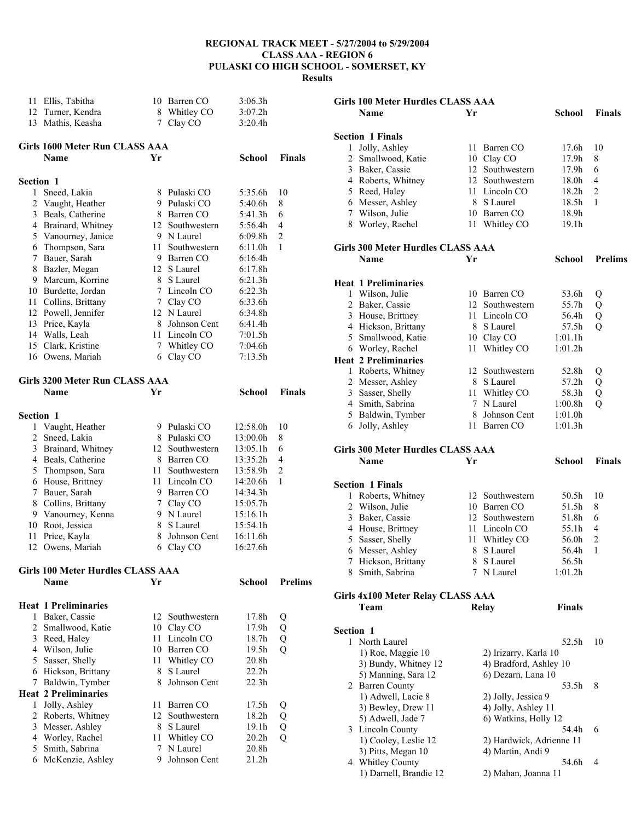| 11               | Ellis, Tabitha<br>12 Turner, Kendra | $7\phantom{.0}$ | 10 Barren CO<br>8 Whitley CO | 3:06.3h<br>3:07.2h<br>3:20.4h |                |
|------------------|-------------------------------------|-----------------|------------------------------|-------------------------------|----------------|
|                  | 13 Mathis, Keasha                   |                 | Clay CO                      |                               |                |
|                  | Girls 1600 Meter Run CLASS AAA      |                 |                              |                               |                |
|                  | <b>Name</b>                         | Yr              |                              | <b>School</b>                 | <b>Finals</b>  |
| <b>Section 1</b> |                                     |                 |                              |                               |                |
| 1                | Sneed, Lakia                        |                 | 8 Pulaski CO                 | 5:35.6h                       | 10             |
| $\overline{2}$   | Vaught, Heather                     |                 | 9 Pulaski CO                 | 5:40.6h                       | 8              |
| 3                | Beals, Catherine                    |                 | 8 Barren CO                  | 5:41.3h                       | 6              |
|                  | 4 Brainard, Whitney                 |                 | 12 Southwestern              | 5:56.4h                       | 4              |
|                  | 5 Vanourney, Janice                 |                 | 9 N Laurel                   | 6:09.8h                       | $\overline{2}$ |
| 6                | Thompson, Sara                      | 11 -            | Southwestern                 | 6:11.0h                       | 1              |
| 7                | Bauer, Sarah                        |                 | 9 Barren CO                  | 6:16.4h                       |                |
| 8                | Bazler, Megan                       | 12              | S Laurel                     | 6:17.8h                       |                |
|                  | 9 Marcum, Korrine                   |                 | 8 S Laurel                   | 6:21.3h                       |                |
|                  | 10 Burdette, Jordan                 |                 | 7 Lincoln CO                 | 6:22.3h                       |                |
|                  | 11 Collins, Brittany                | 7 <sup>7</sup>  | Clay CO                      | 6:33.6h                       |                |
|                  | 12 Powell, Jennifer                 |                 | 12 N Laurel                  | 6:34.8h                       |                |
|                  | 13 Price, Kayla                     |                 | 8 Johnson Cent               | 6:41.4h                       |                |
|                  | 14 Walls, Leah                      |                 | 11 Lincoln CO                | 7:01.5h                       |                |
|                  | 15 Clark, Kristine                  | $7^{\circ}$     | Whitley CO                   | 7:04.6h                       |                |
|                  | 16 Owens, Mariah                    | 6               | Clay CO                      | 7:13.5h                       |                |
|                  | Girls 3200 Meter Run CLASS AAA      |                 |                              |                               |                |
|                  | Name                                | Yr              |                              | School                        | <b>Finals</b>  |
|                  |                                     |                 |                              |                               |                |
| <b>Section 1</b> |                                     |                 |                              |                               |                |
|                  | 1 Vaught, Heather                   |                 | 9 Pulaski CO                 | 12:58.0h                      | 10             |
| 2                | Sneed, Lakia                        |                 | 8 Pulaski CO                 | 13:00.0h                      | 8              |
| 3                | Brainard, Whitney                   |                 | 12 Southwestern              | 13:05.1h                      | 6              |
|                  | 4 Beals, Catherine                  |                 | 8 Barren CO                  | 13:35.2h                      | 4              |
| 5                | Thompson, Sara                      | 11 -            | Southwestern                 | 13:58.9h                      | $\overline{2}$ |
| 6                | House, Brittney                     | 11 -            | Lincoln CO                   | 14:20.6h                      | 1              |
| 7                | Bauer, Sarah                        |                 | 9 Barren CO                  | 14:34.3h                      |                |
|                  | 8 Collins, Brittany                 |                 | 7 Clay CO                    | 15:05.7h                      |                |
|                  | 9 Vanourney, Kenna                  |                 | 9 N Laurel                   | 15:16.1h                      |                |
| 10               | Root, Jessica                       | 8               | S Laurel                     | 15:54.1h                      |                |
| 11               | Price, Kayla                        | 8.              | Johnson Cent                 | 16:11.6h                      |                |
|                  | 12 Owens, Mariah                    |                 | 6 Clay CO                    | 16:27.6h                      |                |
|                  | Girls 100 Meter Hurdles CLASS AAA   |                 |                              |                               |                |
|                  | <b>Name</b>                         | Yr              |                              | School                        | <b>Prelims</b> |
|                  |                                     |                 |                              |                               |                |
|                  | <b>Heat 1 Preliminaries</b>         |                 |                              |                               |                |
| 1                | Baker, Cassie                       | 12              | Southwestern                 | 17.8h                         | Q              |
| $\overline{2}$   | Smallwood, Katie                    |                 | 10 Clay CO                   | 17.9h                         | Q              |
| 3                | Reed, Haley                         |                 | 11 Lincoln CO                | 18.7h                         | Q              |
|                  | 4 Wilson, Julie                     |                 | 10 Barren CO                 | 19.5h                         | $\overline{Q}$ |
| 5                | Sasser, Shelly                      | 11              | Whitley CO                   | 20.8h                         |                |
|                  | 6 Hickson, Brittany                 | 8               | S Laurel                     | 22.2h                         |                |
| 7                | Baldwin, Tymber                     | 8               | Johnson Cent                 | 22.3 <sub>h</sub>             |                |
|                  | <b>Heat 2 Preliminaries</b>         |                 |                              |                               |                |
| 1                | Jolly, Ashley                       | 11.             | Barren CO                    | 17.5h                         | Q              |
| 2                | Roberts, Whitney                    | 12              | Southwestern                 | 18.2h                         | Q              |
| 3                | Messer, Ashley                      | 8               | S Laurel                     | 19.1h                         | Q              |
|                  | 4 Worley, Rachel                    | 11              | Whitley CO                   | 20.2 <sub>h</sub>             | Q              |
| 5                | Smith, Sabrina                      | $7^{\circ}$     | N Laurel                     | 20.8h                         |                |
| 6                | McKenzie, Ashley                    | 9.              | Johnson Cent                 | 21.2h                         |                |

| <b>Girls 100 Meter Hurdles CLASS AAA</b> |                                            |    |                          |                   |                |
|------------------------------------------|--------------------------------------------|----|--------------------------|-------------------|----------------|
|                                          | <b>Name</b>                                | Yr |                          | School            | <b>Finals</b>  |
|                                          |                                            |    |                          |                   |                |
|                                          | <b>Section 1 Finals</b>                    |    |                          |                   |                |
| 1                                        | Jolly, Ashley                              | 11 | Barren CO                | 17.6h             | 10             |
|                                          | 2 Smallwood, Katie                         |    | 10 Clay CO               | 17.9h             | 8              |
|                                          | 3 Baker, Cassie                            |    | 12 Southwestern          | 17.9h             | 6              |
|                                          | 4 Roberts, Whitney                         |    | 12 Southwestern          | 18.0h             | 4              |
|                                          | 5 Reed, Haley                              | 11 | Lincoln CO               | 18.2 <sub>h</sub> | $\overline{c}$ |
|                                          | 6 Messer, Ashley                           | 8  | S Laurel                 | 18.5h             | 1              |
|                                          | 7 Wilson, Julie                            | 10 | Barren CO                | 18.9h             |                |
|                                          | 8 Worley, Rachel                           | 11 | Whitley CO               | 19.1h             |                |
|                                          |                                            |    |                          |                   |                |
|                                          | Girls 300 Meter Hurdles CLASS AAA          |    |                          |                   |                |
|                                          | <b>Name</b>                                | Yr |                          | School            | <b>Prelims</b> |
|                                          |                                            |    |                          |                   |                |
|                                          | <b>Heat 1 Preliminaries</b>                |    |                          |                   |                |
|                                          | 1 Wilson, Julie                            | 10 | Barren CO                | 53.6h             | Q              |
|                                          | 2 Baker, Cassie                            | 12 | Southwestern             | 55.7h             | Q              |
|                                          | 3 House, Brittney                          | 11 | Lincoln CO               | 56.4h             | Q              |
|                                          | 4 Hickson, Brittany                        | 8  | S Laurel                 | 57.5h             | Q              |
|                                          | 5 Smallwood, Katie                         | 10 | Clay CO                  | 1:01.1h           |                |
|                                          | 6 Worley, Rachel                           | 11 | Whitley CO               | 1:01.2h           |                |
|                                          | <b>Heat 2 Preliminaries</b>                |    |                          |                   |                |
|                                          | 1 Roberts, Whitney                         |    | 12 Southwestern          | 52.8h             | Q              |
|                                          | 2 Messer, Ashley                           |    | 8 S Laurel               | 57.2h             | Q              |
|                                          | 3 Sasser, Shelly                           | 11 | Whitley CO               | 58.3h             | Q              |
|                                          | 4 Smith, Sabrina                           | 7  | N Laurel                 | 1:00.8h           | $\overline{Q}$ |
|                                          | 5 Baldwin, Tymber                          | 8  | Johnson Cent             | 1:01.0h           |                |
|                                          | 6 Jolly, Ashley                            |    | 11 Barren CO             | 1:01.3h           |                |
|                                          |                                            |    |                          |                   |                |
|                                          |                                            |    |                          |                   |                |
|                                          |                                            |    |                          |                   |                |
|                                          | <b>Girls 300 Meter Hurdles CLASS AAA</b>   |    |                          |                   |                |
|                                          | <b>Name</b>                                | Yr |                          | School            | <b>Finals</b>  |
|                                          |                                            |    |                          |                   |                |
|                                          | <b>Section 1 Finals</b>                    |    |                          |                   |                |
|                                          | 1 Roberts, Whitney                         |    | 12 Southwestern          | 50.5h             | 10             |
|                                          | 2 Wilson, Julie                            |    | 10 Barren CO             | 51.5h             | 8              |
|                                          | 3 Baker, Cassie                            |    | 12 Southwestern          | 51.8h             | 6              |
|                                          | 4 House, Brittney                          | 11 | Lincoln CO               | 55.1h             | 4              |
|                                          | 5 Sasser, Shelly                           | 11 | Whitley CO               | 56.0h             | 2              |
|                                          | 6 Messer, Ashley                           | 8  | S Laurel                 | 56.4h             | 1              |
|                                          | 7 Hickson, Brittany                        | 8  | S Laurel                 | 56.5h             |                |
|                                          | 8 Smith, Sabrina                           | 7  | N Laurel                 | 1:01.2h           |                |
|                                          |                                            |    |                          |                   |                |
|                                          | Girls 4x100 Meter Relay CLASS AAA          |    |                          |                   |                |
|                                          | Team                                       |    | <b>Relay</b>             | <b>Finals</b>     |                |
|                                          |                                            |    |                          |                   |                |
| Section 1                                |                                            |    |                          |                   |                |
|                                          | 1 North Laurel                             |    |                          | 52.5h             | 10             |
|                                          | 1) Roe, Maggie 10                          |    | 2) Irizarry, Karla 10    |                   |                |
|                                          | 3) Bundy, Whitney 12                       |    | 4) Bradford, Ashley 10   |                   |                |
|                                          | 5) Manning, Sara 12                        |    | 6) Dezarn, Lana 10       |                   |                |
|                                          | 2 Barren County                            |    |                          | 53.5h             | 8              |
|                                          | 1) Adwell, Lacie 8                         |    | 2) Jolly, Jessica 9      |                   |                |
|                                          | 3) Bewley, Drew 11                         |    | 4) Jolly, Ashley 11      |                   |                |
|                                          | 5) Adwell, Jade 7                          |    | 6) Watkins, Holly 12     |                   |                |
|                                          | 3 Lincoln County                           |    |                          | 54.4h             | 6              |
|                                          | 1) Cooley, Leslie 12                       |    | 2) Hardwick, Adrienne 11 |                   |                |
|                                          | 3) Pitts, Megan 10                         |    | 4) Martin, Andi 9        |                   |                |
|                                          | 4 Whitley County<br>1) Darnell, Brandie 12 |    | 2) Mahan, Joanna 11      | 54.6h             | 4              |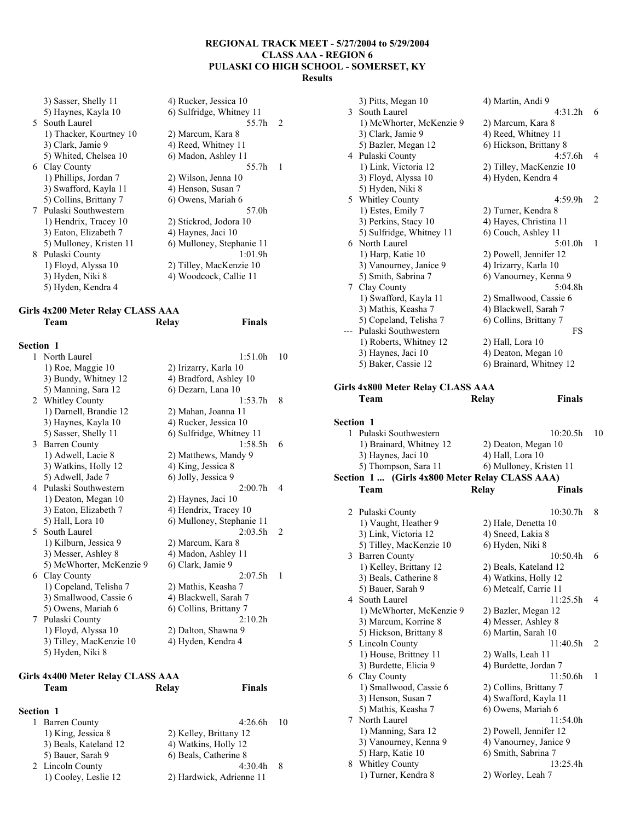55.7h 2

55.7h 1

| 3) Sasser, Shelly 11    | 4) Rucker, Jessica 10     |
|-------------------------|---------------------------|
| 5) Haynes, Kayla 10     | 6) Sulfridge, Whitney 11  |
| 5 South Laurel          | 55.7h                     |
| 1) Thacker, Kourtney 10 | 2) Marcum, Kara 8         |
| 3) Clark, Jamie 9       | 4) Reed, Whitney 11       |
| 5) Whited, Chelsea 10   | 6) Madon, Ashley 11       |
| 6 Clay County           | 55.7h                     |
| 1) Phillips, Jordan 7   | 2) Wilson, Jenna 10       |
| 3) Swafford, Kayla 11   | 4) Henson, Susan 7        |
| 5) Collins, Brittany 7  | 6) Owens, Mariah 6        |
| 7 Pulaski Southwestern  | 57.0h                     |
| 1) Hendrix, Tracey 10   | 2) Stickrod, Jodora 10    |
| 3) Eaton, Elizabeth 7   | 4) Haynes, Jaci 10        |
| 5) Mulloney, Kristen 11 | 6) Mulloney, Stephanie 11 |
| 8 Pulaski County        | 1:01.9h                   |
| 1) Floyd, Alyssa 10     | 2) Tilley, MacKenzie 10   |
| 3) Hyden, Niki 8        | 4) Woodcock, Callie 11    |
| 5) Hyden, Kendra 4      |                           |

## **Girls 4x200 Meter Relay CLASS AAA Team Relay Finals**

## **Section 1**

| 1  | North Laurel             | 1:51.0h                   | 10 |
|----|--------------------------|---------------------------|----|
|    | 1) Roe, Maggie 10        | 2) Irizarry, Karla 10     |    |
|    | 3) Bundy, Whitney 12     | 4) Bradford, Ashley 10    |    |
|    | 5) Manning, Sara 12      | 6) Dezarn, Lana 10        |    |
| 2  | Whitley County           | 1:53.7h                   | 8  |
|    | 1) Darnell, Brandie 12   | 2) Mahan, Joanna 11       |    |
|    | 3) Haynes, Kayla 10      | 4) Rucker, Jessica 10     |    |
|    | 5) Sasser, Shelly 11     | 6) Sulfridge, Whitney 11  |    |
| 3  | <b>Barren County</b>     | 1:58.5h                   | 6  |
|    | 1) Adwell, Lacie 8       | 2) Matthews, Mandy 9      |    |
|    | 3) Watkins, Holly 12     | 4) King, Jessica 8        |    |
|    | 5) Adwell, Jade 7        | 6) Jolly, Jessica 9       |    |
|    | 4 Pulaski Southwestern   | 2:00.7h                   | 4  |
|    | 1) Deaton, Megan 10      | 2) Haynes, Jaci 10        |    |
|    | 3) Eaton, Elizabeth 7    | 4) Hendrix, Tracey 10     |    |
|    | 5) Hall, Lora 10         | 6) Mulloney, Stephanie 11 |    |
| 5. | South Laurel             | 2:03.5h                   | 2  |
|    | 1) Kilburn, Jessica 9    | 2) Marcum, Kara 8         |    |
|    | 3) Messer, Ashley 8      | 4) Madon, Ashley 11       |    |
|    | 5) McWhorter, McKenzie 9 | 6) Clark, Jamie 9         |    |
| 6  | Clay County              | 2:07.5h                   | 1  |
|    | 1) Copeland, Telisha 7   | 2) Mathis, Keasha 7       |    |
|    | 3) Smallwood, Cassie 6   | 4) Blackwell, Sarah 7     |    |
|    | 5) Owens, Mariah 6       | 6) Collins, Brittany 7    |    |
| 7  | Pulaski County           | 2:10.2h                   |    |
|    | 1) Floyd, Alyssa 10      | 2) Dalton, Shawna 9       |    |
|    | 3) Tilley, MacKenzie 10  | 4) Hyden, Kendra 4        |    |
|    | 5) Hyden, Niki 8         |                           |    |

#### **Girls 4x400 Meter Relay CLASS AAA Team Relay Finals**

| Section 1             |                          |     |
|-----------------------|--------------------------|-----|
| 1 Barren County       | $4:26.6h$ 10             |     |
| 1) King, Jessica 8    | 2) Kelley, Brittany 12   |     |
| 3) Beals, Kateland 12 | 4) Watkins, Holly 12     |     |
| 5) Bauer, Sarah 9     | 6) Beals, Catherine 8    |     |
| 2 Lincoln County      | 4:30.4h                  | - 8 |
| 1) Cooley, Leslie 12  | 2) Hardwick, Adrienne 11 |     |

|                  | 3) Pitts, Megan 10                             | 4) Martin, Andi 9             |    |
|------------------|------------------------------------------------|-------------------------------|----|
|                  | 3 South Laurel                                 | 4:31.2h                       | 6  |
|                  | 1) McWhorter, McKenzie 9                       | 2) Marcum, Kara 8             |    |
|                  | 3) Clark, Jamie 9                              | 4) Reed, Whitney 11           |    |
|                  | 5) Bazler, Megan 12                            | 6) Hickson, Brittany 8        |    |
|                  | 4 Pulaski County                               | 4:57.6h                       | 4  |
|                  | 1) Link, Victoria 12                           | 2) Tilley, MacKenzie 10       |    |
|                  |                                                |                               |    |
|                  | 3) Floyd, Alyssa 10                            | 4) Hyden, Kendra 4            |    |
|                  | 5) Hyden, Niki 8                               |                               |    |
|                  | 5 Whitley County                               | 4:59.9h                       | 2  |
|                  | 1) Estes, Emily 7                              | 2) Turner, Kendra 8           |    |
|                  | 3) Perkins, Stacy 10                           | 4) Hayes, Christina 11        |    |
|                  | 5) Sulfridge, Whitney 11                       | 6) Couch, Ashley 11           |    |
|                  | 6 North Laurel                                 | 5:01.0 <sub>h</sub>           | 1  |
|                  | 1) Harp, Katie 10                              | 2) Powell, Jennifer 12        |    |
|                  | 3) Vanourney, Janice 9                         | 4) Irizarry, Karla 10         |    |
|                  | 5) Smith, Sabrina 7                            | 6) Vanourney, Kenna 9         |    |
|                  | 7 Clay County                                  | 5:04.8h                       |    |
|                  | 1) Swafford, Kayla 11                          | 2) Smallwood, Cassie 6        |    |
|                  | 3) Mathis, Keasha 7                            | 4) Blackwell, Sarah 7         |    |
|                  | 5) Copeland, Telisha 7                         | 6) Collins, Brittany 7        |    |
|                  | --- Pulaski Southwestern                       | FS                            |    |
|                  | 1) Roberts, Whitney 12                         | 2) Hall, Lora 10              |    |
|                  | 3) Haynes, Jaci 10                             | 4) Deaton, Megan 10           |    |
|                  | 5) Baker, Cassie 12                            | 6) Brainard, Whitney 12       |    |
|                  |                                                |                               |    |
|                  |                                                |                               |    |
|                  | Girls 4x800 Meter Relay CLASS AAA              |                               |    |
|                  | Team                                           | <b>Finals</b><br>Relay        |    |
|                  |                                                |                               |    |
| <b>Section 1</b> |                                                |                               |    |
| 1                | Pulaski Southwestern                           | 10:20.5h                      | 10 |
|                  |                                                |                               |    |
|                  |                                                |                               |    |
|                  | 1) Brainard, Whitney 12                        | 2) Deaton, Megan 10           |    |
|                  | 3) Haynes, Jaci 10                             | 4) Hall, Lora 10              |    |
|                  | 5) Thompson, Sara 11                           | 6) Mulloney, Kristen 11       |    |
|                  | Section 1  (Girls 4x800 Meter Relay CLASS AAA) |                               |    |
|                  | Team                                           | Relay<br><b>Finals</b>        |    |
|                  |                                                |                               |    |
|                  | 2 Pulaski County                               | 10:30.7h                      | 8  |
|                  | 1) Vaught, Heather 9                           | 2) Hale, Denetta 10           |    |
|                  | 3) Link, Victoria 12                           | 4) Sneed, Lakia 8             |    |
|                  | 5) Tilley, MacKenzie 10                        | 6) Hyden, Niki 8              |    |
|                  | 3 Barren County                                | $10:50.4h$ 6                  |    |
|                  | 1) Kelley, Brittany 12                         | 2) Beals, Kateland 12         |    |
|                  | 3) Beals, Catherine 8                          | 4) Watkins, Holly 12          |    |
|                  | 5) Bauer, Sarah 9                              | 6) Metcalf, Carrie 11         |    |
|                  | 4 South Laurel                                 | 11:25.5h                      | 4  |
|                  | 1) McWhorter, McKenzie 9                       | 2) Bazler, Megan 12           |    |
|                  | 3) Marcum, Korrine 8                           | 4) Messer, Ashley 8           |    |
|                  | 5) Hickson, Brittany 8                         | 6) Martin, Sarah 10           |    |
| 5.               |                                                | 11:40.5h                      | 2  |
|                  | Lincoln County                                 | 2) Walls, Leah 11             |    |
|                  | 1) House, Brittney 11                          |                               |    |
|                  | 3) Burdette, Elicia 9                          | 4) Burdette, Jordan 7         |    |
| 6                | Clay County                                    | 11:50.6h                      | 1  |
|                  | 1) Smallwood, Cassie 6                         | 2) Collins, Brittany 7        |    |
|                  | 3) Henson, Susan 7                             | 4) Swafford, Kayla 11         |    |
|                  | 5) Mathis, Keasha 7                            | 6) Owens, Mariah 6            |    |
| 7                | North Laurel                                   | 11:54.0h                      |    |
|                  | 1) Manning, Sara 12                            | 2) Powell, Jennifer 12        |    |
|                  | 3) Vanourney, Kenna 9                          | 4) Vanourney, Janice 9        |    |
|                  | 5) Harp, Katie 10                              | 6) Smith, Sabrina 7           |    |
| 8                | Whitley County<br>1) Turner, Kendra 8          | 13:25.4h<br>2) Worley, Leah 7 |    |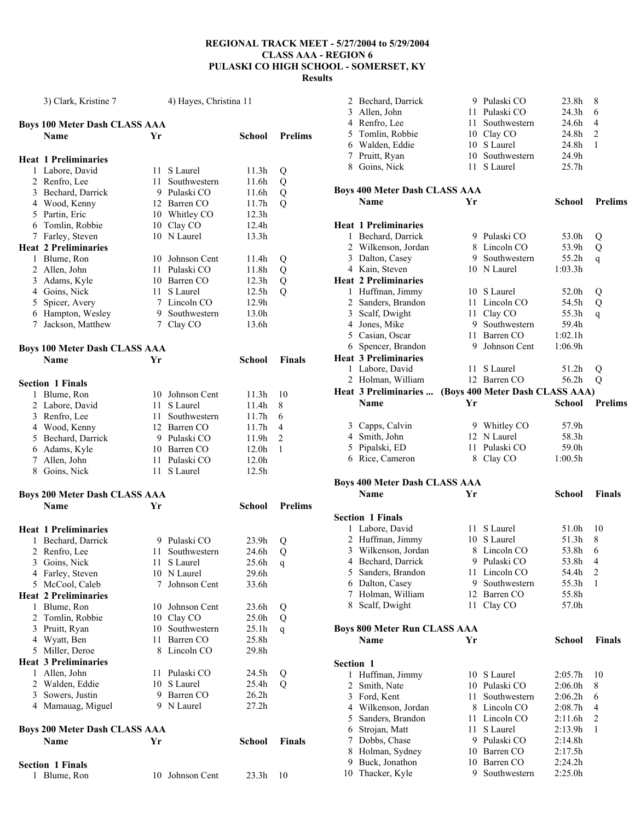|              | 3) Clark, Kristine 7                 |      | 4) Hayes, Christina 11       |                            |                |
|--------------|--------------------------------------|------|------------------------------|----------------------------|----------------|
|              | <b>Boys 100 Meter Dash CLASS AAA</b> |      |                              |                            |                |
|              | Name                                 | Yr   |                              | School                     | <b>Prelims</b> |
|              | <b>Heat 1 Preliminaries</b>          |      |                              |                            |                |
|              | 1 Labore, David                      | 11   | S Laurel                     | 11.3h                      | Q              |
|              | 2 Renfro, Lee                        | 11.  | Southwestern                 | 11.6h                      | Q              |
|              | 3 Bechard, Darrick                   |      | 9 Pulaski CO                 | 11.6h                      | Q              |
|              | 4 Wood, Kenny                        |      | 12 Barren CO                 | 11.7h                      | Q              |
|              | 5 Partin, Eric                       |      | 10 Whitley CO                | 12.3 <sub>h</sub>          |                |
|              | 6 Tomlin, Robbie                     |      | 10 Clay CO                   | 12.4h                      |                |
|              | 7 Farley, Steven                     |      | 10 N Laurel                  | 13.3h                      |                |
|              | <b>Heat 2 Preliminaries</b>          |      |                              |                            |                |
|              | 1 Blume, Ron                         | 10   | Johnson Cent                 | 11.4h                      | Q              |
|              | 2 Allen, John                        | 11   | Pulaski CO                   | 11.8h                      | Q              |
|              | 3 Adams, Kyle                        |      | 10 Barren CO                 | 12.3h                      | Q              |
|              | 4 Goins, Nick                        | 11   | S Laurel                     | 12.5 <sub>h</sub>          | $\overline{Q}$ |
|              | 5 Spicer, Avery                      |      | 7 Lincoln CO                 | 12.9h                      |                |
|              | 6 Hampton, Wesley                    |      | 9 Southwestern               | 13.0h                      |                |
| 7            | Jackson, Matthew                     |      | 7 Clay CO                    | 13.6h                      |                |
|              | <b>Boys 100 Meter Dash CLASS AAA</b> |      |                              |                            |                |
|              | <b>Name</b>                          | Yr   |                              | School                     | <b>Finals</b>  |
|              | <b>Section 1 Finals</b>              |      |                              |                            |                |
|              | 1 Blume, Ron                         | 10   | Johnson Cent                 | 11.3h                      | 10             |
|              | 2 Labore, David                      | 11 - | S Laurel                     | 11.4h                      | 8              |
|              | 3 Renfro, Lee                        | 11.  | Southwestern                 | 11.7h                      | 6              |
|              | 4 Wood, Kenny                        |      | 12 Barren CO                 | 11.7h                      | 4              |
|              | 5 Bechard, Darrick                   |      | 9 Pulaski CO                 | 11.9h                      | 2              |
|              | 6 Adams, Kyle                        |      | 10 Barren CO                 | 12.0h                      | 1              |
|              | 7 Allen, John                        |      | 11 Pulaski CO                | 12.0h                      |                |
|              | 8 Goins, Nick                        |      | 11 S Laurel                  | 12.5 <sub>h</sub>          |                |
|              | <b>Boys 200 Meter Dash CLASS AAA</b> |      |                              |                            |                |
|              | <b>Name</b>                          | Yr   |                              | <b>School</b>              | <b>Prelims</b> |
|              |                                      |      |                              |                            |                |
|              | <b>Heat 1 Preliminaries</b>          |      |                              |                            |                |
|              | 1 Bechard, Darrick                   |      | 9 Pulaski CO<br>Southwestern | 23.9h                      | Q              |
| 2            | Renfro, Lee                          | 11   |                              | 24.6h                      | Q              |
|              | 3 Goins, Nick                        | 11 - | S Laurel<br>10 N Laurel      | 25.6h<br>29.6h             | q              |
|              | 4 Farley, Steven<br>5 McCool, Caleb  | 7    | Johnson Cent                 | 33.6h                      |                |
|              | <b>Heat 2 Preliminaries</b>          |      |                              |                            |                |
| $\mathbf{1}$ | Blume, Ron                           | 10   | Johnson Cent                 |                            |                |
|              | 2 Tomlin, Robbie                     | 10   | Clay CO                      | 23.6h<br>25.0 <sub>h</sub> | Q<br>Q         |
|              | 3 Pruitt, Ryan                       | 10   | Southwestern                 | 25.1h                      |                |
|              | 4 Wyatt, Ben                         | 11   | Barren CO                    | 25.8h                      | q              |
|              | 5 Miller, Deroe                      |      | 8 Lincoln CO                 | 29.8h                      |                |
|              | <b>Heat 3 Preliminaries</b>          |      |                              |                            |                |
|              |                                      |      |                              |                            |                |
| 1            | Allen, John                          | 11   | Pulaski CO<br>10 S Laurel    | 24.5h                      | Q              |
|              | 2 Walden, Eddie<br>3 Sowers, Justin  | 9.   | Barren CO                    | 25.4h<br>26.2 <sub>h</sub> | Q              |
|              | 4 Mamauag, Miguel                    |      | 9 N Laurel                   | $27.2\mathrm{h}$           |                |
|              | <b>Boys 200 Meter Dash CLASS AAA</b> |      |                              |                            |                |
|              | Name                                 | Yr   |                              | School                     | <b>Finals</b>  |
|              |                                      |      |                              |                            |                |
|              | <b>Section 1 Finals</b>              |      |                              |                            |                |
| 1            | Blume, Ron                           |      | 10 Johnson Cent              | 23.3h                      | 10             |

|                | 2 Bechard, Darrick                   |      | 9 Pulaski CO                    | 23.8h              | 8              |
|----------------|--------------------------------------|------|---------------------------------|--------------------|----------------|
| 3              | Allen, John                          | 11 - | Pulaski CO                      | 24.3h              | 6              |
|                |                                      | 11 - | Southwestern                    | 24.6h              | 4              |
|                | 4 Renfro, Lee                        |      |                                 |                    |                |
|                | 5 Tomlin, Robbie                     |      | 10 Clay CO                      | 24.8h              | $\overline{c}$ |
|                | 6 Walden, Eddie                      |      | 10 S Laurel                     | 24.8h              | 1              |
|                | 7 Pruitt, Ryan                       | 10   | Southwestern                    | 24.9h              |                |
|                | 8 Goins, Nick                        | 11   | S Laurel                        | 25.7 <sub>h</sub>  |                |
|                |                                      |      |                                 |                    |                |
|                |                                      |      |                                 |                    |                |
|                | <b>Boys 400 Meter Dash CLASS AAA</b> |      |                                 |                    |                |
|                | Name                                 | Yr   |                                 | School             | <b>Prelims</b> |
|                |                                      |      |                                 |                    |                |
|                | <b>Heat 1 Preliminaries</b>          |      |                                 |                    |                |
|                | 1 Bechard, Darrick                   |      | 9 Pulaski CO                    | 53.0h              | Q              |
|                | 2 Wilkenson, Jordan                  |      | 8 Lincoln CO                    | 53.9h              | Q              |
|                | 3 Dalton, Casey                      |      | 9 Southwestern                  | 55.2h              | $\mathsf{q}$   |
|                | 4 Kain, Steven                       |      | 10 N Laurel                     | 1:03.3h            |                |
|                |                                      |      |                                 |                    |                |
|                | <b>Heat 2 Preliminaries</b>          |      |                                 |                    |                |
|                | 1 Huffman, Jimmy                     |      | 10 S Laurel                     | 52.0h              | Q              |
|                | 2 Sanders, Brandon                   |      | 11 Lincoln CO                   | 54.5h              | Q              |
|                | 3 Scalf, Dwight                      | 11 - | Clay CO                         | 55.3h              | $\mathsf{q}$   |
|                | 4 Jones, Mike                        |      | 9 Southwestern                  | 59.4h              |                |
|                |                                      |      |                                 |                    |                |
|                | 5 Casian, Oscar                      | 11 - | Barren CO                       | 1:02.1h            |                |
|                | 6 Spencer, Brandon                   |      | 9 Johnson Cent                  | 1:06.9h            |                |
|                | <b>Heat 3 Preliminaries</b>          |      |                                 |                    |                |
|                | 1 Labore, David                      | 11   | S Laurel                        | 51.2h              | Q              |
|                | 2 Holman, William                    |      | 12 Barren CO                    | 56.2h              | Q              |
|                |                                      |      |                                 |                    |                |
|                | Heat 3 Preliminaries                 |      | (Boys 400 Meter Dash CLASS AAA) |                    |                |
|                | Name                                 | Yr   |                                 | <b>School</b>      | <b>Prelims</b> |
|                |                                      |      |                                 |                    |                |
|                | 3 Capps, Calvin                      |      | 9 Whitley CO                    | 57.9h              |                |
|                | 4 Smith, John                        |      | 12 N Laurel                     | 58.3h              |                |
|                |                                      |      |                                 |                    |                |
|                |                                      |      |                                 |                    |                |
| 5              | Pipalski, ED                         | 11   | Pulaski CO                      | 59.0h              |                |
|                | 6 Rice, Cameron                      |      | 8 Clay CO                       | 1:00.5h            |                |
|                |                                      |      |                                 |                    |                |
|                | <b>Boys 400 Meter Dash CLASS AAA</b> |      |                                 |                    |                |
|                | Name                                 | Yr   |                                 | School             | Finals         |
|                |                                      |      |                                 |                    |                |
|                | <b>Section 1 Finals</b>              |      |                                 |                    |                |
|                |                                      | 11 - |                                 |                    | 10             |
|                | 1 Labore, David                      |      | S Laurel                        | 51.0h              |                |
|                | 2 Huffman, Jimmy                     |      | 10 S Laurel                     | 51.3h              | 8              |
| 3              | Wilkenson, Jordan                    | 8    | Lincoln CO                      | 53.8h              | 6              |
|                | 4 Bechard, Darrick                   | 9.   | Pulaski CO                      | 53.8h              | 4              |
| 5              | Sanders, Brandon                     | 11   | Lincoln CO                      | 54.4h              | $\overline{c}$ |
|                |                                      |      | 9 Southwestern                  | 55.3h              | 1              |
|                | 6 Dalton, Casey                      |      |                                 |                    |                |
|                | 7 Holman, William                    |      | 12 Barren CO                    | 55.8h              |                |
|                | 8 Scalf, Dwight                      | 11   | Clay CO                         | 57.0h              |                |
|                |                                      |      |                                 |                    |                |
|                | <b>Boys 800 Meter Run CLASS AAA</b>  |      |                                 |                    |                |
|                | Name                                 | Yr   |                                 | School             | <b>Finals</b>  |
|                |                                      |      |                                 |                    |                |
| Section 1      |                                      |      |                                 |                    |                |
| 1              | Huffman, Jimmy                       |      | 10 S Laurel                     | 2:05.7h            | 10             |
| $\overline{c}$ | Smith, Nate                          |      | 10 Pulaski CO                   | 2:06.0h            | 8              |
|                |                                      |      |                                 |                    |                |
| 3              | Ford, Kent                           | 11   | Southwestern                    | 2:06.2h            | 6              |
|                | 4 Wilkenson, Jordan                  |      | 8 Lincoln CO                    | 2:08.7h            | 4              |
| 5              | Sanders, Brandon                     |      | 11 Lincoln CO                   | 2:11.6h            | $\overline{2}$ |
| 6              | Strojan, Matt                        | 11   | S Laurel                        | 2:13.9h            | 1              |
| 7              | Dobbs, Chase                         |      | 9 Pulaski CO                    | 2:14.8h            |                |
| 8              |                                      |      | 10 Barren CO                    |                    |                |
|                | Holman, Sydney                       |      |                                 | 2:17.5h            |                |
| 9<br>10        | Buck, Jonathon<br>Thacker, Kyle      | 9.   | 10 Barren CO<br>Southwestern    | 2:24.2h<br>2:25.0h |                |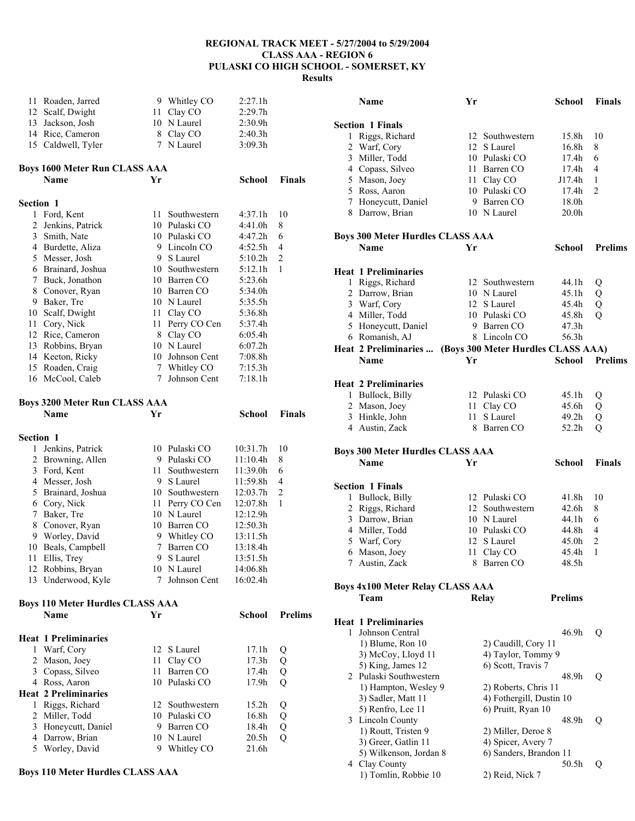| 11        | Roaden, Jarred                               |                 | 9 Whitley CO                   | 2:27.1h              |                |
|-----------|----------------------------------------------|-----------------|--------------------------------|----------------------|----------------|
|           | 12 Scalf, Dwight                             |                 | 11 Clay CO                     | 2:29.7h              |                |
|           | 13 Jackson, Josh                             |                 | 10 N Laurel                    | 2:30.9h              |                |
|           | 14 Rice, Cameron                             |                 | 8 Clay CO                      | 2:40.3h              |                |
|           | 15 Caldwell, Tyler                           |                 | 7 N Laurel                     | 3:09.3h              |                |
|           | <b>Boys 1600 Meter Run CLASS AAA</b>         |                 |                                |                      |                |
|           | Name                                         | Yr              |                                | School               | Finals         |
| Section 1 |                                              |                 |                                |                      |                |
|           | 1 Ford, Kent                                 | 11              | Southwestern                   | 4:37.1h              | 10             |
| 2         | Jenkins, Patrick                             |                 | 10 Pulaski CO                  | 4:41.0h              | 8              |
|           | 3 Smith, Nate                                |                 | 10 Pulaski CO                  | 4:47.2h              | 6              |
|           | 4 Burdette, Aliza                            |                 | 9 Lincoln CO                   | 4:52.5h              | 4              |
|           | 5 Messer, Josh                               |                 | 9 S Laurel                     | 5:10.2h              | 2              |
|           | 6 Brainard, Joshua                           |                 | 10 Southwestern                | 5:12.1h              | 1              |
|           | 7 Buck, Jonathon                             |                 | 10 Barren CO                   | 5:23.6h              |                |
| 8         | Conover, Ryan                                |                 | 10 Barren CO                   | 5:34.0h              |                |
| 9         | Baker, Tre                                   |                 | 10 N Laurel                    | 5:35.5h              |                |
|           | 10 Scalf, Dwight                             | 11              | Clay CO                        | 5:36.8h              |                |
| 11        | Cory, Nick                                   | 11              | Perry CO Cen                   | 5:37.4h              |                |
|           | 12 Rice, Cameron                             |                 | 8 Clay CO                      | 6:05.4h              |                |
|           | 13 Robbins, Bryan                            |                 | 10 N Laurel                    | 6:07.2h              |                |
|           | 14 Keeton, Ricky                             | 10              | Johnson Cent                   | 7:08.8h              |                |
|           | 15 Roaden, Craig                             |                 | 7 Whitley CO                   | 7:15.3h              |                |
|           | 16 McCool, Caleb                             | 7               | Johnson Cent                   | 7:18.1h              |                |
|           | <b>Boys 3200 Meter Run CLASS AAA</b>         |                 |                                |                      |                |
|           | Name                                         | Yr              |                                | School               | <b>Finals</b>  |
| Section 1 |                                              |                 |                                |                      |                |
|           |                                              |                 | 10 Pulaski CO                  | 10:31.7h             | 10             |
|           |                                              |                 |                                |                      |                |
| 1         | Jenkins, Patrick                             |                 |                                |                      |                |
|           | 2 Browning, Allen                            |                 | 9 Pulaski CO                   | 11:10.4h             | 8              |
|           | 3 Ford, Kent                                 | 11<br>9.        | Southwestern                   | 11:39.0h             | 6<br>4         |
|           | 4 Messer, Josh                               |                 | S Laurel<br>10 Southwestern    | 11:59.8h             | 2              |
|           | 5 Brainard, Joshua                           |                 |                                | 12:03.7h<br>12:07.8h | 1              |
| $\tau$    | 6 Cory, Nick                                 |                 | 11 Perry CO Cen<br>10 N Laurel | 12:12.9h             |                |
| 8         | Baker, Tre<br>Conover, Ryan                  |                 | 10 Barren CO                   | 12:50.3h             |                |
|           | 9 Worley, David                              |                 | 9 Whitley CO                   | 13:11.5h             |                |
|           | 10 Beals, Campbell                           | $7\overline{ }$ | Barren CO                      | 13:18.4h             |                |
|           | 11 Ellis, Trey                               |                 | 9 S Laurel                     | 13:51.5h             |                |
|           | 12 Robbins, Bryan                            |                 | 10 N Laurel                    | 14:06.8h             |                |
|           | 13 Underwood, Kyle                           | 7               | Johnson Cent                   | 16:02.4h             |                |
|           | <b>Boys 110 Meter Hurdles CLASS AAA</b>      |                 |                                |                      |                |
|           | Name                                         | Yr              |                                | School               | <b>Prelims</b> |
|           |                                              |                 |                                |                      |                |
|           | <b>Heat 1 Preliminaries</b>                  | 12              |                                |                      |                |
| 1         | Warf, Cory                                   | 11              | S Laurel                       | 17.1h                | Q              |
|           | 2 Mason, Joey                                | 11              | Clay CO<br>Barren CO           | 17.3h<br>17.4h       | Q              |
|           | 3 Copass, Silveo                             | 10              |                                | 17.9h                | Q              |
|           | 4 Ross, Aaron<br><b>Heat 2 Preliminaries</b> |                 | Pulaski CO                     |                      | Q              |
| 1         | Riggs, Richard                               | 12              | Southwestern                   | 15.2 <sub>h</sub>    |                |
|           | 2 Miller, Todd                               |                 | 10 Pulaski CO                  | 16.8h                | Q<br>Q         |
|           | 3 Honeycutt, Daniel                          | 9.              | Barren CO                      | 18.4h                | Q              |
| 4         | Darrow, Brian                                |                 | 10 N Laurel<br>Whitley CO      | 20.5h                | Q              |

# **Boys 110 Meter Hurdles CLASS AAA**

|                | Name                                    | Yr     |                                    | School            | Finals         |
|----------------|-----------------------------------------|--------|------------------------------------|-------------------|----------------|
|                | <b>Section 1 Finals</b>                 |        |                                    |                   |                |
| 1              | Riggs, Richard                          | 12     | Southwestern                       | 15.8h             | 10             |
| $\overline{2}$ | Warf, Cory                              |        | 12 S Laurel                        | 16.8 <sub>h</sub> | 8              |
| 3              | Miller, Todd                            |        | 10 Pulaski CO                      | 17.4h             | 6              |
|                | 4 Copass, Silveo                        |        | 11 Barren CO                       | 17.4h             | 4              |
|                | 5 Mason, Joey                           |        | 11 Clay CO                         | J17.4h            | 1              |
|                | 5 Ross, Aaron                           |        | 10 Pulaski CO                      | 17.4h             | $\overline{2}$ |
|                | 7 Honeycutt, Daniel                     |        | 9 Barren CO                        | 18.0h             |                |
|                | 8 Darrow, Brian                         |        | 10 N Laurel                        | 20.0h             |                |
|                | <b>Boys 300 Meter Hurdles CLASS AAA</b> |        |                                    |                   |                |
|                | Name                                    | Yr     |                                    | School            | <b>Prelims</b> |
|                | <b>Heat 1 Preliminaries</b>             |        |                                    |                   |                |
| 1              | Riggs, Richard                          |        | 12 Southwestern                    | 44.1h             | Q              |
|                | 2 Darrow, Brian                         |        | 10 N Laurel                        | 45.1h             | Q              |
|                | 3 Warf, Cory                            |        | 12 S Laurel                        | 45.4h             | Q              |
|                | 4 Miller, Todd                          |        | 10 Pulaski CO                      | 45.8h             | $\mathcal{O}$  |
|                | 5 Honeycutt, Daniel                     |        | 9 Barren CO                        | 47.3h             |                |
|                | 6 Romanish, AJ                          |        | 8 Lincoln CO                       | 56.3h             |                |
|                | Heat 2 Preliminaries                    |        | (Boys 300 Meter Hurdles CLASS AAA) |                   |                |
|                | <b>Name</b>                             | Yr     |                                    | School            | <b>Prelims</b> |
|                | <b>Heat 2 Preliminaries</b>             |        |                                    |                   |                |
|                | 1 Bullock, Billy                        |        | 12 Pulaski CO                      | 45.1h             | Q              |
|                | 2 Mason, Joey                           | 11 -   | Clay CO                            | 45.6h             | Q              |
|                | 3 Hinkle, John                          | $11 -$ | S Laurel                           | 49.2h             | Q              |
|                | 4 Austin, Zack                          |        | 8 Barren CO                        | 52.2h             | Q              |
|                | <b>Boys 300 Meter Hurdles CLASS AAA</b> |        |                                    |                   |                |
|                | Name                                    | Yr     |                                    | School            | <b>Finals</b>  |
|                |                                         |        |                                    |                   |                |
|                | <b>Section 1 Finals</b>                 |        |                                    |                   |                |
| 1              | Bullock, Billy                          |        | 12 Pulaski CO                      | 41.8h             | 10             |
| $\overline{2}$ | Riggs, Richard                          |        | 12 Southwestern                    | 42.6h             | 8              |
| $\mathfrak{Z}$ | Darrow, Brian                           |        | 10 N Laurel                        | 44.1h             | 6              |
|                | 4 Miller, Todd                          |        | 10 Pulaski CO                      | 44.8h             | 4              |
| 5              | Warf, Cory                              | 12     | S Laurel                           | 45.0h             | 2              |
| 6              | Mason, Joey                             | 11     | Clay CO                            | 45.4h             | 1              |
| 7              | Austin, Zack                            | 8      | Barren CO                          | 48.5h             |                |
|                | <b>Boys 4x100 Meter Relay CLASS AAA</b> |        |                                    |                   |                |
|                | Team                                    |        | <b>Relay</b>                       | <b>Prelims</b>    |                |
|                | <b>Heat 1 Preliminaries</b>             |        |                                    |                   |                |
| 1              | Johnson Central                         |        |                                    | 46.9h             | Q              |
|                | 1) Blume, Ron 10                        |        | 2) Caudill, Cory 11                |                   |                |
|                | 3) McCoy, Lloyd 11                      |        | 4) Taylor, Tommy 9                 |                   |                |
|                | 5) King, James 12                       |        | 6) Scott, Travis 7                 |                   |                |
|                | 2 Pulaski Southwestern                  |        |                                    | 48.9h             | Q              |
|                | 1) Hampton, Wesley 9                    |        | 2) Roberts, Chris 11               |                   |                |
|                | 3) Sadler, Matt 11                      |        | 4) Fothergill, Dustin 10           |                   |                |
|                | 5) Renfro, Lee 11                       |        | 6) Pruitt, Ryan 10                 |                   |                |
|                | 3 Lincoln County                        |        |                                    | 48.9h             | Q              |
|                | 1) Routt, Tristen 9                     |        | 2) Miller, Deroe 8                 |                   |                |
|                | 3) Greer, Gatlin 11                     |        | 4) Spicer, Avery 7                 |                   |                |
|                | 5) Wilkenson, Jordan 8                  |        | 6) Sanders, Brandon 11             |                   |                |
|                | 4 Clay County                           |        |                                    | 50.5h             | Q              |
|                | 1) Tomlin, Robbie 10                    |        | 2) Reid, Nick 7                    |                   |                |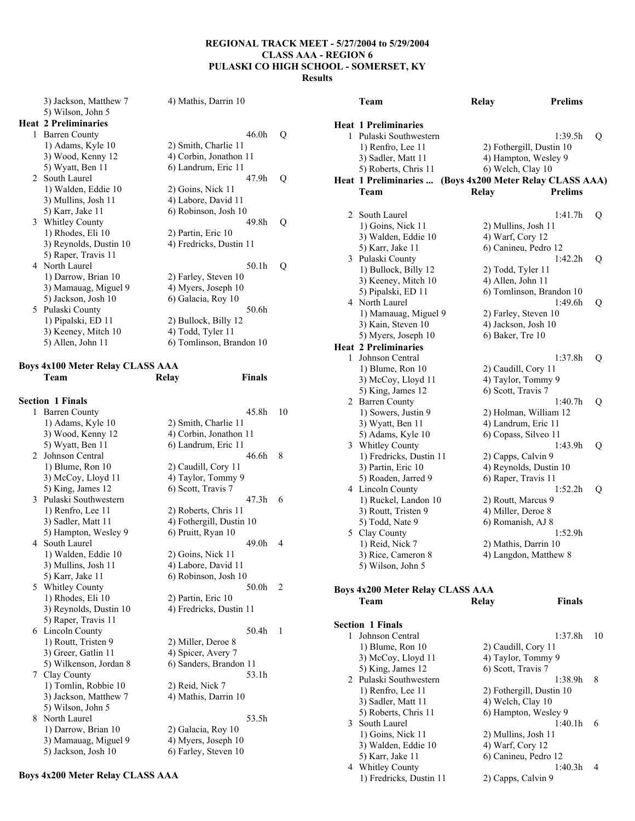| 5) Wilson, John 5<br><b>Heat 2 Preliminaries</b><br><b>Heat 1 Preliminaries</b><br>46.0 <sub>h</sub><br><b>Barren County</b><br>$\mathbf Q$<br>1 Pulaski Southwestern<br>1:39.5h<br>Q<br>$1)$ Adams, Kyle $10$<br>2) Smith, Charlie 11<br>1) Renfro, Lee 11<br>2) Fothergill, Dustin 10<br>3) Wood, Kenny 12<br>4) Corbin, Jonathon 11<br>3) Sadler, Matt 11<br>4) Hampton, Wesley 9<br>5) Wyatt, Ben 11<br>6) Landrum, Eric 11<br>5) Roberts, Chris 11<br>6) Welch, Clay 10<br>South Laurel<br>47.9h<br>$\mathbf Q$<br>$2^{\circ}$<br>Heat 1 Preliminaries  (Boys 4x200 Meter Relay CLASS AAA)<br>1) Walden, Eddie 10<br>2) Goins, Nick 11<br>Team<br><b>Prelims</b><br>Relay<br>4) Labore, David 11<br>3) Mullins, Josh 11<br>6) Robinson, Josh 10<br>5) Karr, Jake 11<br>2 South Laurel<br>1:41.7h<br>$\overline{O}$<br>3 Whitley County<br>49.8h<br>$\mathbf Q$<br>1) Goins, Nick 11<br>2) Mullins, Josh 11<br>$1)$ Rhodes, Eli $10$<br>2) Partin, Eric 10<br>3) Walden, Eddie 10<br>4) Warf, Cory 12<br>3) Reynolds, Dustin 10<br>4) Fredricks, Dustin 11<br>5) Karr, Jake 11<br>6) Canineu, Pedro 12<br>5) Raper, Travis 11<br>3 Pulaski County<br>1:42.2h<br>$\overline{O}$<br>4 North Laurel<br>50.1h<br>$\overline{Q}$<br>1) Bullock, Billy 12<br>2) Todd, Tyler 11<br>1) Darrow, Brian 10<br>2) Farley, Steven 10<br>3) Keeney, Mitch 10<br>4) Allen, John 11<br>3) Mamauag, Miguel 9<br>4) Myers, Joseph 10<br>5) Pipalski, ED 11<br>6) Tomlinson, Brandon 10<br>5) Jackson, Josh 10<br>6) Galacia, Roy 10<br>4 North Laurel<br>1:49.6h<br>Q<br>5 Pulaski County<br>50.6h<br>1) Mamauag, Miguel 9<br>2) Farley, Steven 10<br>1) Pipalski, ED 11<br>2) Bullock, Billy 12<br>3) Kain, Steven 10<br>4) Jackson, Josh 10<br>4) Todd, Tyler 11<br>3) Keeney, Mitch 10<br>6) Baker, Tre 10<br>5) Myers, Joseph 10<br>5) Allen, John 11<br>6) Tomlinson, Brandon 10 | 3) Jackson, Matthew 7 | 4) Mathis, Darrin 10 | Team                        | Relay | <b>Prelims</b> |
|-------------------------------------------------------------------------------------------------------------------------------------------------------------------------------------------------------------------------------------------------------------------------------------------------------------------------------------------------------------------------------------------------------------------------------------------------------------------------------------------------------------------------------------------------------------------------------------------------------------------------------------------------------------------------------------------------------------------------------------------------------------------------------------------------------------------------------------------------------------------------------------------------------------------------------------------------------------------------------------------------------------------------------------------------------------------------------------------------------------------------------------------------------------------------------------------------------------------------------------------------------------------------------------------------------------------------------------------------------------------------------------------------------------------------------------------------------------------------------------------------------------------------------------------------------------------------------------------------------------------------------------------------------------------------------------------------------------------------------------------------------------------------------------------------------------------------------------------------------------------------|-----------------------|----------------------|-----------------------------|-------|----------------|
|                                                                                                                                                                                                                                                                                                                                                                                                                                                                                                                                                                                                                                                                                                                                                                                                                                                                                                                                                                                                                                                                                                                                                                                                                                                                                                                                                                                                                                                                                                                                                                                                                                                                                                                                                                                                                                                                         |                       |                      |                             |       |                |
|                                                                                                                                                                                                                                                                                                                                                                                                                                                                                                                                                                                                                                                                                                                                                                                                                                                                                                                                                                                                                                                                                                                                                                                                                                                                                                                                                                                                                                                                                                                                                                                                                                                                                                                                                                                                                                                                         |                       |                      |                             |       |                |
|                                                                                                                                                                                                                                                                                                                                                                                                                                                                                                                                                                                                                                                                                                                                                                                                                                                                                                                                                                                                                                                                                                                                                                                                                                                                                                                                                                                                                                                                                                                                                                                                                                                                                                                                                                                                                                                                         |                       |                      |                             |       |                |
|                                                                                                                                                                                                                                                                                                                                                                                                                                                                                                                                                                                                                                                                                                                                                                                                                                                                                                                                                                                                                                                                                                                                                                                                                                                                                                                                                                                                                                                                                                                                                                                                                                                                                                                                                                                                                                                                         |                       |                      |                             |       |                |
|                                                                                                                                                                                                                                                                                                                                                                                                                                                                                                                                                                                                                                                                                                                                                                                                                                                                                                                                                                                                                                                                                                                                                                                                                                                                                                                                                                                                                                                                                                                                                                                                                                                                                                                                                                                                                                                                         |                       |                      |                             |       |                |
|                                                                                                                                                                                                                                                                                                                                                                                                                                                                                                                                                                                                                                                                                                                                                                                                                                                                                                                                                                                                                                                                                                                                                                                                                                                                                                                                                                                                                                                                                                                                                                                                                                                                                                                                                                                                                                                                         |                       |                      |                             |       |                |
|                                                                                                                                                                                                                                                                                                                                                                                                                                                                                                                                                                                                                                                                                                                                                                                                                                                                                                                                                                                                                                                                                                                                                                                                                                                                                                                                                                                                                                                                                                                                                                                                                                                                                                                                                                                                                                                                         |                       |                      |                             |       |                |
|                                                                                                                                                                                                                                                                                                                                                                                                                                                                                                                                                                                                                                                                                                                                                                                                                                                                                                                                                                                                                                                                                                                                                                                                                                                                                                                                                                                                                                                                                                                                                                                                                                                                                                                                                                                                                                                                         |                       |                      |                             |       |                |
|                                                                                                                                                                                                                                                                                                                                                                                                                                                                                                                                                                                                                                                                                                                                                                                                                                                                                                                                                                                                                                                                                                                                                                                                                                                                                                                                                                                                                                                                                                                                                                                                                                                                                                                                                                                                                                                                         |                       |                      |                             |       |                |
|                                                                                                                                                                                                                                                                                                                                                                                                                                                                                                                                                                                                                                                                                                                                                                                                                                                                                                                                                                                                                                                                                                                                                                                                                                                                                                                                                                                                                                                                                                                                                                                                                                                                                                                                                                                                                                                                         |                       |                      |                             |       |                |
|                                                                                                                                                                                                                                                                                                                                                                                                                                                                                                                                                                                                                                                                                                                                                                                                                                                                                                                                                                                                                                                                                                                                                                                                                                                                                                                                                                                                                                                                                                                                                                                                                                                                                                                                                                                                                                                                         |                       |                      |                             |       |                |
|                                                                                                                                                                                                                                                                                                                                                                                                                                                                                                                                                                                                                                                                                                                                                                                                                                                                                                                                                                                                                                                                                                                                                                                                                                                                                                                                                                                                                                                                                                                                                                                                                                                                                                                                                                                                                                                                         |                       |                      |                             |       |                |
|                                                                                                                                                                                                                                                                                                                                                                                                                                                                                                                                                                                                                                                                                                                                                                                                                                                                                                                                                                                                                                                                                                                                                                                                                                                                                                                                                                                                                                                                                                                                                                                                                                                                                                                                                                                                                                                                         |                       |                      |                             |       |                |
|                                                                                                                                                                                                                                                                                                                                                                                                                                                                                                                                                                                                                                                                                                                                                                                                                                                                                                                                                                                                                                                                                                                                                                                                                                                                                                                                                                                                                                                                                                                                                                                                                                                                                                                                                                                                                                                                         |                       |                      |                             |       |                |
|                                                                                                                                                                                                                                                                                                                                                                                                                                                                                                                                                                                                                                                                                                                                                                                                                                                                                                                                                                                                                                                                                                                                                                                                                                                                                                                                                                                                                                                                                                                                                                                                                                                                                                                                                                                                                                                                         |                       |                      |                             |       |                |
|                                                                                                                                                                                                                                                                                                                                                                                                                                                                                                                                                                                                                                                                                                                                                                                                                                                                                                                                                                                                                                                                                                                                                                                                                                                                                                                                                                                                                                                                                                                                                                                                                                                                                                                                                                                                                                                                         |                       |                      |                             |       |                |
|                                                                                                                                                                                                                                                                                                                                                                                                                                                                                                                                                                                                                                                                                                                                                                                                                                                                                                                                                                                                                                                                                                                                                                                                                                                                                                                                                                                                                                                                                                                                                                                                                                                                                                                                                                                                                                                                         |                       |                      |                             |       |                |
|                                                                                                                                                                                                                                                                                                                                                                                                                                                                                                                                                                                                                                                                                                                                                                                                                                                                                                                                                                                                                                                                                                                                                                                                                                                                                                                                                                                                                                                                                                                                                                                                                                                                                                                                                                                                                                                                         |                       |                      |                             |       |                |
|                                                                                                                                                                                                                                                                                                                                                                                                                                                                                                                                                                                                                                                                                                                                                                                                                                                                                                                                                                                                                                                                                                                                                                                                                                                                                                                                                                                                                                                                                                                                                                                                                                                                                                                                                                                                                                                                         |                       |                      |                             |       |                |
|                                                                                                                                                                                                                                                                                                                                                                                                                                                                                                                                                                                                                                                                                                                                                                                                                                                                                                                                                                                                                                                                                                                                                                                                                                                                                                                                                                                                                                                                                                                                                                                                                                                                                                                                                                                                                                                                         |                       |                      |                             |       |                |
|                                                                                                                                                                                                                                                                                                                                                                                                                                                                                                                                                                                                                                                                                                                                                                                                                                                                                                                                                                                                                                                                                                                                                                                                                                                                                                                                                                                                                                                                                                                                                                                                                                                                                                                                                                                                                                                                         |                       |                      |                             |       |                |
|                                                                                                                                                                                                                                                                                                                                                                                                                                                                                                                                                                                                                                                                                                                                                                                                                                                                                                                                                                                                                                                                                                                                                                                                                                                                                                                                                                                                                                                                                                                                                                                                                                                                                                                                                                                                                                                                         |                       |                      | <b>Heat 2 Preliminaries</b> |       |                |

## **Boys 4x100 Meter Relay CLASS AAA Team Relay Finals**

|                | <b>Section 1 Finals</b> |                          |    |
|----------------|-------------------------|--------------------------|----|
| 1              | <b>Barren County</b>    | 45.8h                    | 10 |
|                | 1) Adams, Kyle 10       | 2) Smith, Charlie 11     |    |
|                | 3) Wood, Kenny 12       | 4) Corbin, Jonathon 11   |    |
|                | 5) Wyatt, Ben 11        | 6) Landrum, Eric 11      |    |
| $\mathfrak{D}$ | Johnson Central         | 46.6h                    | 8  |
|                | 1) Blume, Ron 10        | 2) Caudill, Cory 11      |    |
|                | 3) McCoy, Lloyd 11      | 4) Taylor, Tommy 9       |    |
|                | 5) King, James 12       | 6) Scott, Travis 7       |    |
| 3              | Pulaski Southwestern    | 47.3h                    | 6  |
|                | 1) Renfro, Lee 11       | 2) Roberts, Chris 11     |    |
|                | 3) Sadler, Matt 11      | 4) Fothergill, Dustin 10 |    |
|                | 5) Hampton, Wesley 9    | 6) Pruitt, Ryan 10       |    |
|                | 4 South Laurel          | 49.0h                    | 4  |
|                | 1) Walden, Eddie 10     | 2) Goins, Nick 11        |    |
|                | 3) Mullins, Josh 11     | 4) Labore, David 11      |    |
|                | 5) Karr, Jake 11        | 6) Robinson, Josh 10     |    |
|                | 5 Whitley County        | 50.0h                    | 2  |
|                | 1) Rhodes, Eli 10       | 2) Partin, Eric 10       |    |
|                | 3) Reynolds, Dustin 10  | 4) Fredricks, Dustin 11  |    |
|                | 5) Raper, Travis 11     |                          |    |
| 6              | Lincoln County          | 50.4h                    | 1  |
|                | 1) Routt, Tristen 9     | 2) Miller, Deroe 8       |    |
|                | 3) Greer, Gatlin 11     | 4) Spicer, Avery 7       |    |
|                | 5) Wilkenson, Jordan 8  | 6) Sanders, Brandon 11   |    |
|                | 7 Clay County           | 53.1h                    |    |
|                | 1) Tomlin, Robbie 10    | 2) Reid, Nick 7          |    |
|                | 3) Jackson, Matthew 7   | 4) Mathis, Darrin 10     |    |
|                | 5) Wilson, John 5       |                          |    |
| 8              | North Laurel            | 53.5h                    |    |
|                | 1) Darrow, Brian 10     | 2) Galacia, Roy 10       |    |
|                | 3) Mamauag, Miguel 9    | 4) Myers, Joseph 10      |    |
|                | 5) Jackson, Josh 10     | 6) Farley, Steven 10     |    |

# $2 \text{ with} \text{ Laurel}$  1:41.7h Q 1) Goins, Nick 11 2) Mullins, Josh 11 3) Walden, Eddie 10 4) Warf, Cory 12 5) Karr, Jake 11 6) Canineu, Pedro 12 3 Pulaski County 1:42.2h Q 1) Bullock, Billy 12 2) Todd, Tyler 11 3) Keeney, Mitch 10 4) Allen, John 11 5) Pipalski, ED 11 6) Tomlinson, Brandon 10 orth Laurel 1:49.6h Q Mamauag, Miguel 9 2) Farley, Steven 10 3) Kain, Steven 10 4) Jackson, Josh 10 Myers, Joseph 10 6) Baker, Tre 10 **Preliminaries** 1 Johnson Central 1:37.8h Q 1) Blume, Ron 10 2) Caudill, Cory 11 3) McCoy, Lloyd 11 4) Taylor, Tommy 9 5) King, James 12 6) Scott, Travis 7 2 Barren County 1:40.7h Q 1) Sowers, Justin 9 2) Holman, William 12 3) Wyatt, Ben 11 4) Landrum, Eric 11 5) Adams, Kyle 10 6) Copass, Silveo 11 3 Whitley County 1:43.9h Q 1) Fredricks, Dustin 11 2) Capps, Calvin 9 3) Partin, Eric 10 4) Reynolds, Dustin 10 5) Roaden, Jarred 9 6) Raper, Travis 11 4 Lincoln County 1:52.2h Q 1) Ruckel, Landon 10 2) Routt, Marcus 9 3) Routt, Tristen 9 4) Miller, Deroe 8 5) Todd, Nate 9 6) Romanish, AJ 8 5 Clay County 1:52.9h 1) Reid, Nick 7 2) Mathis, Darrin 10 3) Rice, Cameron 8 4) Langdon, Matthew 8 5) Wilson, John 5 **Boys 4x200 Meter Relay CLASS AAA Team Relay Finals Section 1 Finals**  1 Johnson Central 1:37.8h 10 1) Blume, Ron 10 2) Caudill, Cory 11

|   | 1) Blume, Ron 10        | 2) Caudill, Cory 11      |   |
|---|-------------------------|--------------------------|---|
|   | 3) McCoy, Lloyd 11      | 4) Taylor, Tommy 9       |   |
|   | 5) King, James 12       | 6) Scott, Travis 7       |   |
|   | 2 Pulaski Southwestern  | 1:38.9h                  | 8 |
|   | 1) Renfro, Lee 11       | 2) Fothergill, Dustin 10 |   |
|   | 3) Sadler, Matt 11      | 4) Welch, Clay 10        |   |
|   | 5) Roberts, Chris 11    | 6) Hampton, Wesley 9     |   |
| 3 | South Laurel            | 1:40.1h                  | 6 |
|   | 1) Goins, Nick 11       | 2) Mullins, Josh 11      |   |
|   | 3) Walden, Eddie 10     | 4) Warf, Cory 12         |   |
|   | 5) Karr, Jake 11        | 6) Canineu, Pedro 12     |   |
|   | 4 Whitley County        | 1:40.3h                  |   |
|   | 1) Fredricks, Dustin 11 | 2) Capps, Calvin 9       |   |
|   |                         |                          |   |